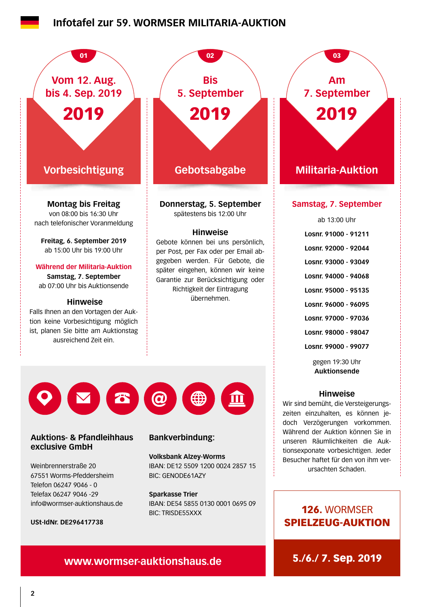### **Infotafel zur 59. WORMSER MILITARIA-AUKTION**



**exclusive GmbH**

Weinbrennerstraße 20 67551 Worms-Pfeddersheim Telefon 06247 9046 - 0 Telefax 06247 9046 -29 info@wormser-auktionshaus.de

**USt-IdNr. DE296417738**

#### **Bankverbindung:**

**Volksbank Alzey-Worms** IBAN: DE12 5509 1200 0024 2857 15 BIC: GENODE61AZY

**Sparkasse Trier** IBAN: DE54 5855 0130 0001 0695 09 BIC: TRISDE55XXX

## 126. WORMSER SPIELZEUG-AUKTION

tionsexponate vorbesichtigen. Jeder Besucher haftet für den von ihm verursachten Schaden.

# **www.wormser-auktionshaus.de** 5./6./ 7. Sep. 2019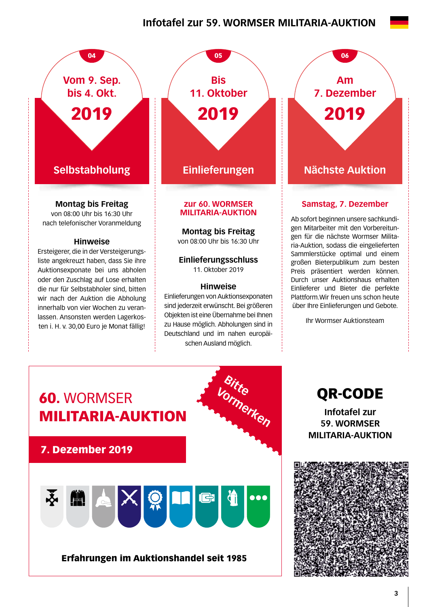## **Infotafel zur 59. WORMSER MILITARIA-AUKTION**



#### **Hinweise**

Ersteigerer, die in der Versteigerungsliste angekreuzt haben, dass Sie ihre Auktionsexponate bei uns abholen oder den Zuschlag auf Lose erhalten die nur für Selbstabholer sind, bitten wir nach der Auktion die Abholung innerhalb von vier Wochen zu veranlassen. Ansonsten werden Lagerkosten i. H. v. 30,00 Euro je Monat fällig!

**Selbstabholung Einlieferungen Nächste Auktion zur 60. WORMSER**  04 05 05 06 **Bis 11. Oktober** 2019

# **MILITARIA-AUKTION**

**Montag bis Freitag** 

von 08:00 Uhr bis 16:30 Uhr

#### **Einlieferungsschluss**  11. Oktober 2019

#### **Hinweise**

Einlieferungen von Auktionsexponaten sind jederzeit erwünscht. Bei größeren Objekten ist eine Übernahme bei Ihnen zu Hause möglich. Abholungen sind in Deutschland und im nahen europäischen Ausland möglich.

**Am 7. Dezember** 2019

#### **Samstag, 7. Dezember**

Ab sofort beginnen unsere sachkundigen Mitarbeiter mit den Vorbereitungen für die nächste Wormser Militaria-Auktion, sodass die eingelieferten Sammlerstücke optimal und einem großen Bieterpublikum zum besten Preis präsentiert werden können. Durch unser Auktionshaus erhalten Einlieferer und Bieter die perfekte Plattform.Wir freuen uns schon heute über Ihre Einlieferungen und Gebote.

Ihr Wormser Auktionsteam



QR-CODE

**Infotafel zur 59. WORMSER MILITARIA-AUKTION**

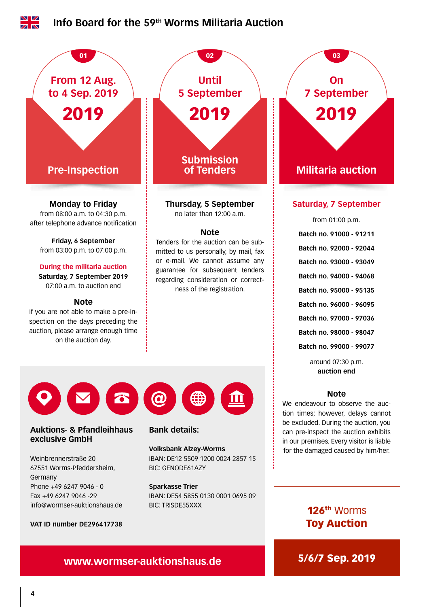

## **www.wormser-auktionshaus.de 5/6/7 Sep. 2019**